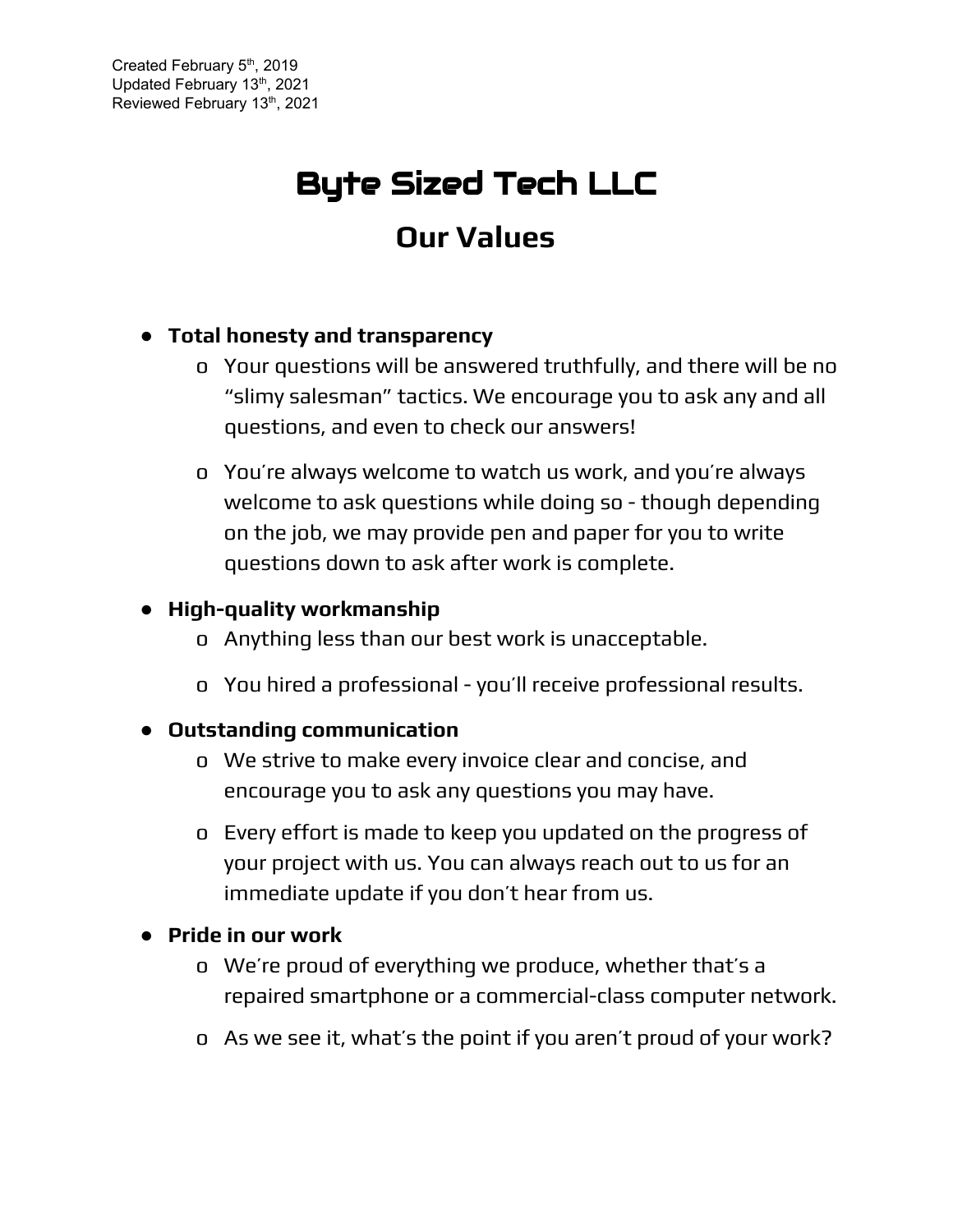# Byte Sized Tech LLC **Our Values**

## **● Total honesty and transparency**

- o Your questions will be answered truthfully, and there will be no "slimy salesman" tactics. We encourage you to ask any and all questions, and even to check our answers!
- o You're always welcome to watch us work, and you're always welcome to ask questions while doing so - though depending on the job, we may provide pen and paper for you to write questions down to ask after work is complete.

## **● High-quality workmanship**

- o Anything less than our best work is unacceptable.
- o You hired a professional you'll receive professional results.

### **● Outstanding communication**

- o We strive to make every invoice clear and concise, and encourage you to ask any questions you may have.
- o Every effort is made to keep you updated on the progress of your project with us. You can always reach out to us for an immediate update if you don't hear from us.

### **● Pride in our work**

- o We're proud of everything we produce, whether that's a repaired smartphone or a commercial-class computer network.
- o As we see it, what's the point if you aren't proud of your work?